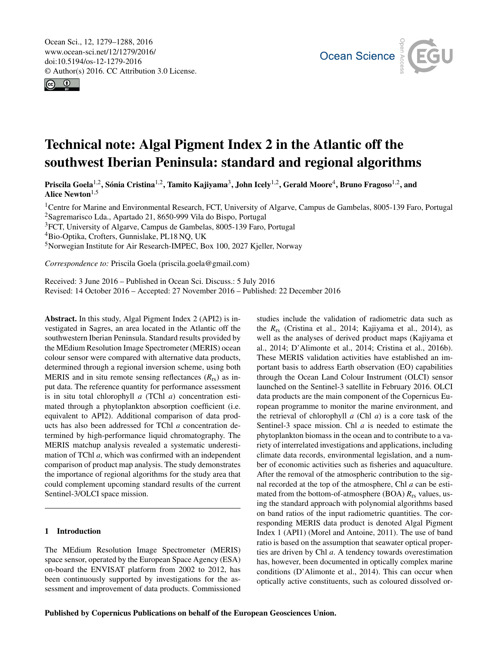<span id="page-0-1"></span>Ocean Sci., 12, 1279–1288, 2016 www.ocean-sci.net/12/1279/2016/ doi:10.5194/os-12-1279-2016 © Author(s) 2016. CC Attribution 3.0 License.





# Technical note: Algal Pigment Index 2 in the Atlantic off the southwest Iberian Peninsula: standard and regional algorithms

Priscila Goela<sup>[1,2](#page-0-0)</sup>, Sónia Cristina<sup>1,2</sup>, Tamito Kajiyama<sup>[3](#page-0-0)</sup>, John Icely<sup>1,2</sup>, Gerald Moore<sup>[4](#page-0-0)</sup>, Bruno Fragoso<sup>1,2</sup>, and Alice Newton $1,5$ 

<sup>1</sup>Centre for Marine and Environmental Research, FCT, University of Algarve, Campus de Gambelas, 8005-139 Faro, Portugal <sup>2</sup>Sagremarisco Lda., Apartado 21, 8650-999 Vila do Bispo, Portugal

<sup>3</sup>FCT, University of Algarve, Campus de Gambelas, 8005-139 Faro, Portugal

<sup>4</sup>Bio-Optika, Crofters, Gunnislake, PL18 NQ, UK

<sup>5</sup>Norwegian Institute for Air Research-IMPEC, Box 100, 2027 Kjeller, Norway

*Correspondence to:* Priscila Goela (priscila.goela@gmail.com)

Received: 3 June 2016 – Published in Ocean Sci. Discuss.: 5 July 2016 Revised: 14 October 2016 – Accepted: 27 November 2016 – Published: 22 December 2016

<span id="page-0-0"></span>Abstract. In this study, Algal Pigment Index 2 (API2) is investigated in Sagres, an area located in the Atlantic off the southwestern Iberian Peninsula. Standard results provided by the MEdium Resolution Image Spectrometer (MERIS) ocean colour sensor were compared with alternative data products, determined through a regional inversion scheme, using both MERIS and in situ remote sensing reflectances (*R*rs) as input data. The reference quantity for performance assessment is in situ total chlorophyll *a* (TChl *a*) concentration estimated through a phytoplankton absorption coefficient (i.e. equivalent to API2). Additional comparison of data products has also been addressed for TChl *a* concentration determined by high-performance liquid chromatography. The MERIS matchup analysis revealed a systematic underestimation of TChl *a*, which was confirmed with an independent comparison of product map analysis. The study demonstrates the importance of regional algorithms for the study area that could complement upcoming standard results of the current Sentinel-3/OLCI space mission.

# 1 Introduction

The MEdium Resolution Image Spectrometer (MERIS) space sensor, operated by the European Space Agency (ESA) on-board the ENVISAT platform from 2002 to 2012, has been continuously supported by investigations for the assessment and improvement of data products. Commissioned studies include the validation of radiometric data such as the *R*rs (Cristina et al., 2014; Kajiyama et al., 2014), as well as the analyses of derived product maps (Kajiyama et al., 2014; D'Alimonte et al., 2014; Cristina et al., 2016b). These MERIS validation activities have established an important basis to address Earth observation (EO) capabilities through the Ocean Land Colour Instrument (OLCI) sensor launched on the Sentinel-3 satellite in February 2016. OLCI data products are the main component of the Copernicus European programme to monitor the marine environment, and the retrieval of chlorophyll *a* (Chl *a*) is a core task of the Sentinel-3 space mission. Chl *a* is needed to estimate the phytoplankton biomass in the ocean and to contribute to a variety of interrelated investigations and applications, including climate data records, environmental legislation, and a number of economic activities such as fisheries and aquaculture. After the removal of the atmospheric contribution to the signal recorded at the top of the atmosphere, Chl *a* can be estimated from the bottom-of-atmosphere (BOA) *R*rs values, using the standard approach with polynomial algorithms based on band ratios of the input radiometric quantities. The corresponding MERIS data product is denoted Algal Pigment Index 1 (API1) (Morel and Antoine, 2011). The use of band ratio is based on the assumption that seawater optical properties are driven by Chl *a*. A tendency towards overestimation has, however, been documented in optically complex marine conditions (D'Alimonte et al., 2014). This can occur when optically active constituents, such as coloured dissolved or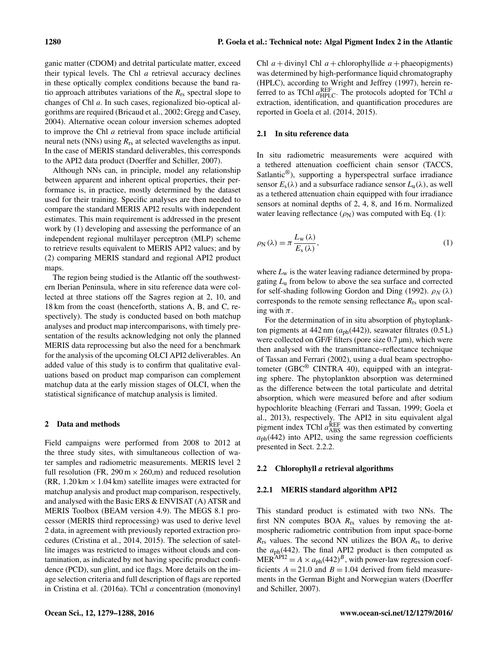ganic matter (CDOM) and detrital particulate matter, exceed their typical levels. The Chl *a* retrieval accuracy declines in these optically complex conditions because the band ratio approach attributes variations of the *R*rs spectral slope to changes of Chl *a*. In such cases, regionalized bio-optical algorithms are required (Bricaud et al., 2002; Gregg and Casey, 2004). Alternative ocean colour inversion schemes adopted to improve the Chl *a* retrieval from space include artificial neural nets (NNs) using *R*rs at selected wavelengths as input. In the case of MERIS standard deliverables, this corresponds to the API2 data product (Doerffer and Schiller, 2007).

Although NNs can, in principle, model any relationship between apparent and inherent optical properties, their performance is, in practice, mostly determined by the dataset used for their training. Specific analyses are then needed to compare the standard MERIS API2 results with independent estimates. This main requirement is addressed in the present work by (1) developing and assessing the performance of an independent regional multilayer perceptron (MLP) scheme to retrieve results equivalent to MERIS API2 values; and by (2) comparing MERIS standard and regional API2 product maps.

The region being studied is the Atlantic off the southwestern Iberian Peninsula, where in situ reference data were collected at three stations off the Sagres region at 2, 10, and 18 km from the coast (henceforth, stations A, B, and C, respectively). The study is conducted based on both matchup analyses and product map intercomparisons, with timely presentation of the results acknowledging not only the planned MERIS data reprocessing but also the need for a benchmark for the analysis of the upcoming OLCI API2 deliverables. An added value of this study is to confirm that qualitative evaluations based on product map comparison can complement matchup data at the early mission stages of OLCI, when the statistical significance of matchup analysis is limited.

#### 2 Data and methods

Field campaigns were performed from 2008 to 2012 at the three study sites, with simultaneous collection of water samples and radiometric measurements. MERIS level 2 full resolution (FR,  $290 \text{ m} \times 260 \text{ m}$ ) and reduced resolution  $(RR, 1.20 \text{ km} \times 1.04 \text{ km})$  satellite images were extracted for matchup analysis and product map comparison, respectively, and analysed with the Basic ERS & ENVISAT (A) ATSR and MERIS Toolbox (BEAM version 4.9). The MEGS 8.1 processor (MERIS third reprocessing) was used to derive level 2 data, in agreement with previously reported extraction procedures (Cristina et al., 2014, 2015). The selection of satellite images was restricted to images without clouds and contamination, as indicated by not having specific product confidence (PCD), sun glint, and ice flags. More details on the image selection criteria and full description of flags are reported in Cristina et al. (2016a). TChl *a* concentration (monovinyl Chl  $a +$ divinyl Chl  $a +$ chlorophyllide  $a +$ phaeopigments) was determined by high-performance liquid chromatography (HPLC), according to Wright and Jeffrey (1997), herein referred to as TChl  $a_{\text{HPLC}}^{\text{REF}}$ . The protocols adopted for TChl *a* extraction, identification, and quantification procedures are reported in Goela et al. (2014, 2015).

#### 2.1 In situ reference data

In situ radiometric measurements were acquired with a tethered attenuation coefficient chain sensor (TACCS, Satlantic<sup>®</sup>), supporting a hyperspectral surface irradiance sensor  $E_s(\lambda)$  and a subsurface radiance sensor  $L_u(\lambda)$ , as well as a tethered attenuation chain equipped with four irradiance sensors at nominal depths of 2, 4, 8, and 16 m. Normalized water leaving reflectance  $(\rho_N)$  was computed with Eq. (1):

$$
\rho_{N}(\lambda) = \pi \frac{L_{w}(\lambda)}{E_{s}(\lambda)},
$$
\n(1)

where  $L_w$  is the water leaving radiance determined by propagating *L*<sup>u</sup> from below to above the sea surface and corrected for self-shading following Gordon and Ding (1992).  $\rho_N(\lambda)$ corresponds to the remote sensing reflectance  $R_{rs}$  upon scaling with  $\pi$ .

For the determination of in situ absorption of phytoplankton pigments at  $442 \text{ nm}$  ( $a_{ph}(442)$ ), seawater filtrates (0.5 L) were collected on GF/F filters (pore size 0.7 µm), which were then analysed with the transmittance–reflectance technique of Tassan and Ferrari (2002), using a dual beam spectrophotometer (GBC® CINTRA 40), equipped with an integrating sphere. The phytoplankton absorption was determined as the difference between the total particulate and detrital absorption, which were measured before and after sodium hypochlorite bleaching (Ferrari and Tassan, 1999; Goela et al., 2013), respectively. The API2 in situ equivalent algal pigment index TChl  $a_{\text{ABS}}^{\text{REF}}$  was then estimated by converting  $a<sub>ph</sub>(442)$  into API2, using the same regression coefficients presented in Sect. 2.2.2.

#### 2.2 Chlorophyll *a* retrieval algorithms

#### 2.2.1 MERIS standard algorithm API2

This standard product is estimated with two NNs. The first NN computes BOA *R*rs values by removing the atmospheric radiometric contribution from input space-borne *R*rs values. The second NN utilizes the BOA *R*rs to derive the  $a<sub>ph</sub>(442)$ . The final API2 product is then computed as  $MER^{API2} = A \times a_{ph}(442)^B$ , with power-law regression coefficients  $A = 21.0$  and  $B = 1.04$  derived from field measurements in the German Bight and Norwegian waters (Doerffer and Schiller, 2007).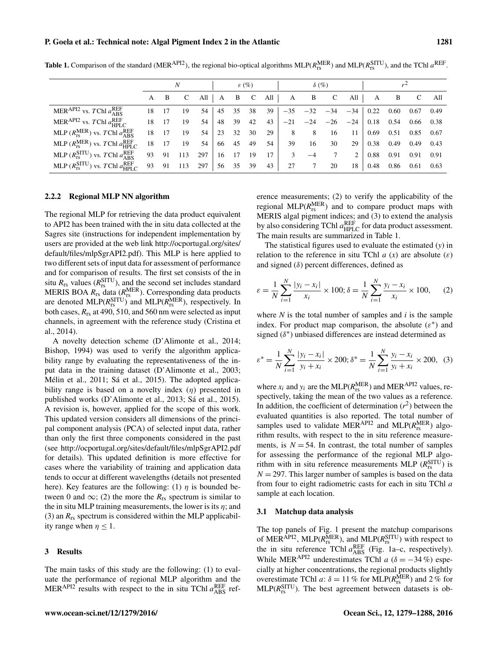P. Goela et al.: Technical note: Algal Pigment Index 2 in the Atlantic 1281

|                                                                     | N  |    | $\varepsilon$ (%) |     |    |    | $\delta$ (%) |     |       |       |       |       |      |      |      |      |
|---------------------------------------------------------------------|----|----|-------------------|-----|----|----|--------------|-----|-------|-------|-------|-------|------|------|------|------|
|                                                                     | A  | B  | C                 | All | A  | B  | $\mathbf C$  | All | A     | B     | C     | All   | A    | B    | C    | All  |
| MERAPI2 vs. TChl $a_{\rm ABS}^{\rm REF}$                            | 18 |    | 19                | 54  | 45 | 35 | 38           | 39  | $-35$ | $-32$ | $-34$ | $-34$ | 0.22 | 0.60 | 0.67 | 0.49 |
| MER <sup>API2</sup> vs. TChl $a_{\text{HPLC}}^{\text{REF}}$         | 18 |    | 19                | 54  | 48 | 39 | 42           | 43  | $-21$ | $-24$ | $-26$ | $-24$ | 0.18 | 0.54 | 0.66 | 0.38 |
| MLP $(R_{rs}^{MER})$ vs. TChl $a_{ABS}^{REF}$                       | 18 | 17 | 19                | 54  | 23 | 32 | 30           | 29  | 8     | 8     | 16    | 11    | 0.69 | 0.51 | 0.85 | 0.67 |
| MLP $(R_{rs}^{MER})$ vs. TChl $a_{HPLC}^{REF}$                      | 18 | 17 | 19                | 54  | 66 | 45 | 49           | 54  | 39    | 16    | 30    | 29    | 0.38 | 0.49 | 0.49 | 0.43 |
| MLP $(R_{rs}^{\text{SITU}})$ vs. TChl $a_{\text{ABS}}^{\text{REF}}$ | 93 | 91 | 113               | 297 | 16 | 17 | 19           | 17  | 3     | $-4$  |       | 2     | 0.88 | 0.91 | 0.91 | 0.91 |
| MLP $(R_{rs}^{SITU})$ vs. TChl $a_{HPLC}^{REF}$                     | 93 | 91 | 113               | 297 | 56 | 35 | 39           | 43  | 27    |       | 20    | 18    | 0.48 | 0.86 | 0.61 | 0.63 |

**Table 1.** Comparison of the standard (MER<sup>API2</sup>), the regional bio-optical algorithms MLP( $R_{rs}^{\text{MER}}$ ) and MLP( $R_{rs}^{\text{SITU}}$ ), and the TChl  $a^{\text{REF}}$ .

# 2.2.2 Regional MLP NN algorithm

The regional MLP for retrieving the data product equivalent to API2 has been trained with the in situ data collected at the Sagres site (instructions for independent implementation by users are provided at the web link [http://ocportugal.org/sites/](http://ocportugal.org/sites/default/files/mlpSgrAPI2.pdf) [default/files/mlpSgrAPI2.pdf\)](http://ocportugal.org/sites/default/files/mlpSgrAPI2.pdf). This MLP is here applied to two different sets of input data for assessment of performance and for comparison of results. The first set consists of the in situ  $R_{rs}$  values ( $R_{rs}^{\text{STTU}}$ ), and the second set includes standard MERIS BOA  $R_{rs}$  data  $(R_{rs}^{MER})$ . Corresponding data products are denoted  $MLP(R_{rs}^{STTU})$  and  $MLP(R_{rs}^{MER})$ , respectively. In both cases, *R*rs at 490, 510, and 560 nm were selected as input channels, in agreement with the reference study (Cristina et al., 2014).

A novelty detection scheme (D'Alimonte et al., 2014; Bishop, 1994) was used to verify the algorithm applicability range by evaluating the representativeness of the input data in the training dataset (D'Alimonte et al., 2003; Mélin et al., 2011; Sá et al., 2015). The adopted applicability range is based on a novelty index  $(\eta)$  presented in published works (D'Alimonte et al., 2013; Sá et al., 2015). A revision is, however, applied for the scope of this work. This updated version considers all dimensions of the principal component analysis (PCA) of selected input data, rather than only the first three components considered in the past (see <http://ocportugal.org/sites/default/files/mlpSgrAPI2.pdf> for details). This updated definition is more effective for cases where the variability of training and application data tends to occur at different wavelengths (details not presented here). Key features are the following: (1)  $\eta$  is bounded between 0 and  $\infty$ ; (2) the more the  $R_{rs}$  spectrum is similar to the in situ MLP training measurements, the lower is its  $\eta$ ; and (3) an  $R_{rs}$  spectrum is considered within the MLP applicability range when  $\eta \leq 1$ .

#### 3 Results

The main tasks of this study are the following: (1) to evaluate the performance of regional MLP algorithm and the MER<sup>API2</sup> results with respect to the in situ TChl  $a_{\text{ABS}}^{\text{REF}}$  reference measurements; (2) to verify the applicability of the regional  $MLP(R_{rs}^{MER})$  and to compare product maps with MERIS algal pigment indices; and (3) to extend the analysis by also considering TChl  $a_{\text{HPLC}}^{\text{REF}}$  for data product assessment. The main results are summarized in Table 1.

The statistical figures used to evaluate the estimated (*y*) in relation to the reference in situ TChl  $a(x)$  are absolute  $(\varepsilon)$ and signed  $(\delta)$  percent differences, defined as

$$
\varepsilon = \frac{1}{N} \sum_{i=1}^{N} \frac{|y_i - x_i|}{x_i} \times 100; \delta = \frac{1}{N} \sum_{i=1}^{N} \frac{y_i - x_i}{x_i} \times 100, \quad (2)
$$

where  $N$  is the total number of samples and  $i$  is the sample index. For product map comparison, the absolute  $(\varepsilon^*)$  and signed ( $δ$ <sup>\*</sup>) unbiased differences are instead determined as

$$
\varepsilon^* = \frac{1}{N} \sum_{i=1}^N \frac{|y_i - x_i|}{y_i + x_i} \times 200; \delta^* = \frac{1}{N} \sum_{i=1}^N \frac{y_i - x_i}{y_i + x_i} \times 200, \tag{3}
$$

where  $x_i$  and  $y_i$  are the MLP( $R_{rs}^{\text{MER}}$ ) and MER<sup>API2</sup> values, respectively, taking the mean of the two values as a reference. In addition, the coefficient of determination  $(r^2)$  between the evaluated quantities is also reported. The total number of samples used to validate MER<sup>API2</sup> and MLP( $R_{rs}^{\text{MER}}$ ) algorithm results, with respect to the in situ reference measurements, is  $N = 54$ . In contrast, the total number of samples for assessing the performance of the regional MLP algorithm with in situ reference measurements MLP  $(R_{rs}^{\text{SITU}})$  is  $N = 297$ . This larger number of samples is based on the data from four to eight radiometric casts for each in situ TChl a sample at each location.

#### 3.1 Matchup data analysis

The top panels of Fig. 1 present the matchup comparisons of MER<sup>API2</sup>, MLP( $R_{rs}^{\text{MER}}$ ), and MLP( $R_{rs}^{\text{STTU}}$ ) with respect to the in situ reference TChl  $a_{\text{ABS}}^{\text{REF}}$  (Fig. 1a–c, respectively). While MER<sup>API2</sup> underestimates TChl *a* ( $\delta = -34\%$ ) especially at higher concentrations, the regional products slightly overestimate TChl *a*:  $\delta = 11\%$  for MLP( $R_{rs}^{\text{MER}}$ ) and 2 % for  $MLP(R<sub>rs</sub><sup>SITU</sup>)$ . The best agreement between datasets is ob-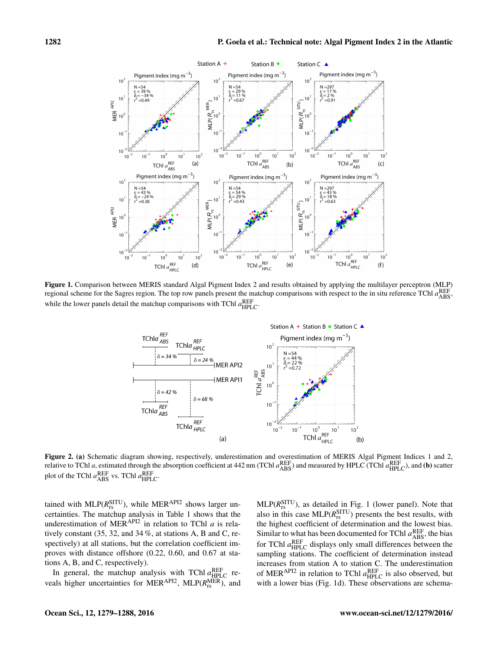

Figure 1. Comparison between MERIS standard Algal Pigment Index 2 and results obtained by applying the multilayer perceptron (MLP) regional scheme for the Sagres region. The top row panels present the matchup comparisons with respect to the in situ reference TChl  $a_{\rm ABS}^{\rm REF}$ while the lower panels detail the matchup comparisons with TChl  $a_{\text{HPLC}}^{\text{REF}}$ .



Figure 2. (a) Schematic diagram showing, respectively, underestimation and overestimation of MERIS Algal Pigment Indices 1 and 2, relative to TChl *a*, estimated through the absorption coefficient at 442 nm (TChl  $a_{\rm ABS}^{\rm REF}$ ) and measured by HPLC (TChl  $a_{\rm HPLC}^{\rm REF}$ ), and (**b**) scatter plot of the TChl  $a_{\rm ABS}^{\rm REF}$  vs. TChl  $a_{\rm HPLC}^{\rm REF}$ .

tained with  $MLP(R_{rs}^{STTU})$ , while  $MER^{API2}$  shows larger uncertainties. The matchup analysis in Table 1 shows that the underestimation of MERAPI2 in relation to TChl *a* is relatively constant (35, 32, and 34 %, at stations A, B and C, respectively) at all stations, but the correlation coefficient improves with distance offshore (0.22, 0.60, and 0.67 at stations A, B, and C, respectively).

In general, the matchup analysis with TChl  $a_{\text{HPLC}}^{\text{REF}}$  reveals higher uncertainties for MER<sup>API2</sup>, MLP( $R_{rs}^{\text{MER}}$ ), and

 $MLP(R<sub>rs</sub><sup>SITU</sup>)$ , as detailed in Fig. 1 (lower panel). Note that also in this case  $MLP(R_{rs}^{STU})$  presents the best results, with the highest coefficient of determination and the lowest bias. Similar to what has been documented for TChl  $a_{\rm ABS}^{\rm REF}$ , the bias for TChl  $a_{\text{HPLC}}^{\text{REF}}$  displays only small differences between the sampling stations. The coefficient of determination instead increases from station A to station C. The underestimation of MER<sup>API2</sup> in relation to TChl  $a_{\text{HPLC}}^{\text{REF}}$  is also observed, but with a lower bias (Fig. 1d). These observations are schema-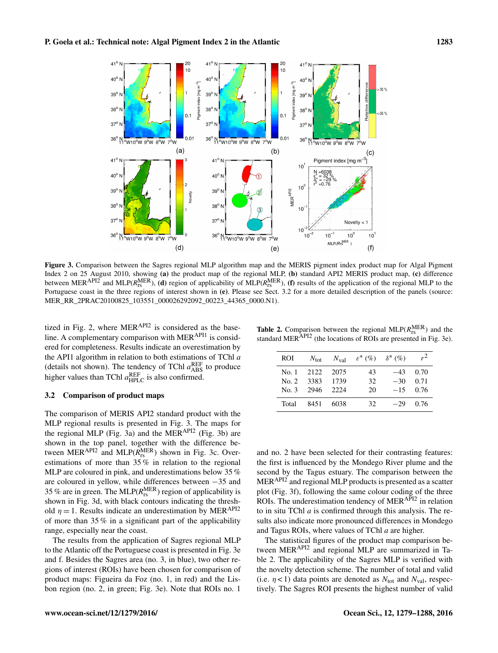

Figure 3. Comparison between the Sagres regional MLP algorithm map and the MERIS pigment index product map for Algal Pigment Index 2 on 25 August 2010, showing (a) the product map of the regional MLP, (b) standard API2 MERIS product map, (c) difference between MER<sup>API2</sup> and MLP( $R_{rs}^{\text{MER}}$ ), (d) region of applicability of MLP( $R_{rs}^{\text{MER}}$ ), (f) results of the application of the regional MLP to the Portuguese coast in the three regions of interest shown in (e). Please see Sect. 3.2 for a more detailed description of the panels (source: MER\_RR\_2PRAC20100825\_103551\_000026292092\_00223\_44365\_0000.N1).

tized in Fig. 2, where  $MER^{API2}$  is considered as the baseline. A complementary comparison with MER<sup>API1</sup> is considered for completeness. Results indicate an overestimation by the API1 algorithm in relation to both estimations of TChl *a* (details not shown). The tendency of TChl  $a_{\text{ABS}}^{\text{REF}}$  to produce higher values than TChl  $a_{\text{HPLC}}^{\text{REF}}$  is also confirmed.

#### 3.2 Comparison of product maps

The comparison of MERIS API2 standard product with the MLP regional results is presented in Fig. 3. The maps for the regional MLP (Fig. 3a) and the MERAPI2 (Fig. 3b) are shown in the top panel, together with the difference between  $MER^{API2}$  and  $MLP(R_{rs}^{MER})$  shown in Fig. 3c. Overestimations of more than 35 % in relation to the regional MLP are coloured in pink, and underestimations below 35 % are coloured in yellow, while differences between −35 and 35 % are in green. The MLP( $R_{rs}^{\text{MER}}$ ) region of applicability is shown in Fig. 3d, with black contours indicating the threshold  $\eta = 1$ . Results indicate an underestimation by MER<sup>API2</sup> of more than 35 % in a significant part of the applicability range, especially near the coast.

The results from the application of Sagres regional MLP to the Atlantic off the Portuguese coast is presented in Fig. 3e and f. Besides the Sagres area (no. 3, in blue), two other regions of interest (ROIs) have been chosen for comparison of product maps: Figueira da Foz (no. 1, in red) and the Lisbon region (no. 2, in green; Fig. 3e). Note that ROIs no. 1

**Table 2.** Comparison between the regional MLP( $R_{\text{rs}}^{\text{MER}}$ ) and the standard MER<sup>API2</sup> (the locations of ROIs are presented in Fig. 3e).

| ROI.  |                 | $N_{\rm tot}$ $N_{\rm val}$ | $\varepsilon^*$ (%) $\delta^*$ (%) |            | $r^2$      |
|-------|-----------------|-----------------------------|------------------------------------|------------|------------|
|       | No. 1 2122 2075 |                             | 43                                 |            | $-43$ 0.70 |
|       | No. 2 3383      | 1739                        | 32                                 | $-30$ 0.71 |            |
|       | No. 3 2946 2224 |                             | 20                                 |            | $-15$ 0.76 |
| Total | 8451            | 6038                        | 32.                                | $-29$      | 0.76       |

and no. 2 have been selected for their contrasting features: the first is influenced by the Mondego River plume and the second by the Tagus estuary. The comparison between the MERAPI2 and regional MLP products is presented as a scatter plot (Fig. 3f), following the same colour coding of the three ROIs. The underestimation tendency of MER<sup>API2</sup> in relation to in situ TChl *a* is confirmed through this analysis. The results also indicate more pronounced differences in Mondego and Tagus ROIs, where values of TChl *a* are higher.

The statistical figures of the product map comparison between MERAPI2 and regional MLP are summarized in Table 2. The applicability of the Sagres MLP is verified with the novelty detection scheme. The number of total and valid (i.e.  $\eta$  < 1) data points are denoted as  $N_{\text{tot}}$  and  $N_{\text{val}}$ , respectively. The Sagres ROI presents the highest number of valid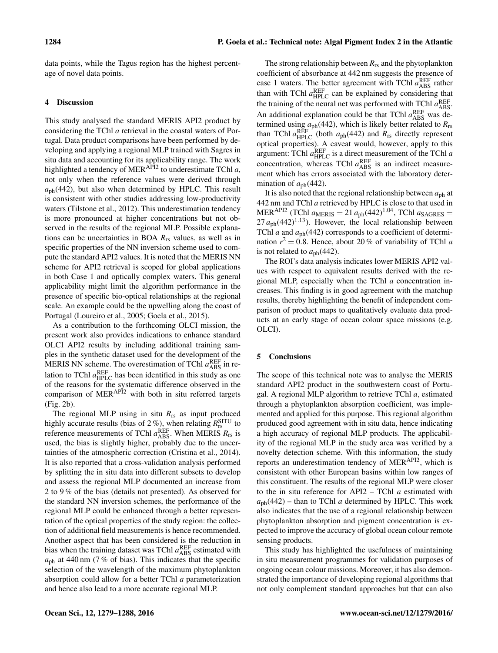data points, while the Tagus region has the highest percentage of novel data points.

## 4 Discussion

This study analysed the standard MERIS API2 product by considering the TChl *a* retrieval in the coastal waters of Portugal. Data product comparisons have been performed by developing and applying a regional MLP trained with Sagres in situ data and accounting for its applicability range. The work highlighted a tendency of MERAPI2 to underestimate TChl *a*, not only when the reference values were derived through  $a<sub>ph</sub>(442)$ , but also when determined by HPLC. This result is consistent with other studies addressing low-productivity waters (Tilstone et al., 2012). This underestimation tendency is more pronounced at higher concentrations but not observed in the results of the regional MLP. Possible explanations can be uncertainties in BOA *R*rs values, as well as in specific properties of the NN inversion scheme used to compute the standard API2 values. It is noted that the MERIS NN scheme for API2 retrieval is scoped for global applications in both Case 1 and optically complex waters. This general applicability might limit the algorithm performance in the presence of specific bio-optical relationships at the regional scale. An example could be the upwelling along the coast of Portugal (Loureiro et al., 2005; Goela et al., 2015).

As a contribution to the forthcoming OLCI mission, the present work also provides indications to enhance standard OLCI API2 results by including additional training samples in the synthetic dataset used for the development of the MERIS NN scheme. The overestimation of TChl  $a_{\rm ABS}^{\rm REF}$  in relation to TChl  $a_{\text{HPLC}}^{\text{REF}}$  has been identified in this study as one of the reasons for the systematic difference observed in the comparison of MER<sup>API2</sup> with both in situ referred targets (Fig. 2b).

The regional MLP using in situ *R*rs as input produced highly accurate results (bias of  $2\%$ ), when relating  $R_{rs}^{\text{STU}}$  to reference measurements of TChl  $a_{\text{ABS}}^{\text{REF}}$ . When MERIS  $R_{rs}$  is used, the bias is slightly higher, probably due to the uncertainties of the atmospheric correction (Cristina et al., 2014). It is also reported that a cross-validation analysis performed by splitting the in situ data into different subsets to develop and assess the regional MLP documented an increase from 2 to 9 % of the bias (details not presented). As observed for the standard NN inversion schemes, the performance of the regional MLP could be enhanced through a better representation of the optical properties of the study region: the collection of additional field measurements is hence recommended. Another aspect that has been considered is the reduction in bias when the training dataset was TChl  $a_{\rm ABS}^{\rm REF}$  estimated with  $a<sub>ph</sub>$  at 440 nm (7 % of bias). This indicates that the specific selection of the wavelength of the maximum phytoplankton absorption could allow for a better TChl *a* parameterization and hence also lead to a more accurate regional MLP.

The strong relationship between *R*rs and the phytoplankton coefficient of absorbance at 442 nm suggests the presence of case 1 waters. The better agreement with TChl  $a_{\text{ABS}}^{\text{REF}}$  rather than with TChl  $a_{\text{HPLC}}^{\text{REF}}$  can be explained by considering that the training of the neural net was performed with TChl  $a_{\rm ABS}^{\rm REF}$ . An additional explanation could be that TChl  $a_{\rm ABS}^{\rm REF}$  was determined using *a*ph(442), which is likely better related to *R*rs than TChl  $a_{\text{HPLC}}^{\text{REF}}$  (both  $a_{\text{ph}}$ (442) and  $R_{\text{rs}}$  directly represent optical properties). A caveat would, however, apply to this argument: TChl  $a_{\text{HPLC}}^{\text{REF}}$  is a direct measurement of the TChl  $a$ concentration, whereas TChl  $a_{\text{ABS}}^{\text{REF}}$  is an indirect measurement which has errors associated with the laboratory determination of  $a_{ph}(442)$ .

It is also noted that the regional relationship between  $a<sub>ph</sub>$  at 442 nm and TChl *a* retrieved by HPLC is close to that used in  $MER^{API2}$  (TChl  $a_{MERIS} = 21 a_{ph} (442)^{1.04}$ , TChl  $a_{SAGRES} =$  $27 a_{ph} (442)^{1.13}$ ). However, the local relationship between TChl *a* and *a*ph(442) corresponds to a coefficient of determination  $r^2 = 0.8$ . Hence, about 20% of variability of TChl *a* is not related to  $a_{\rm ph}(442)$ .

The ROI's data analysis indicates lower MERIS API2 values with respect to equivalent results derived with the regional MLP, especially when the TChl *a* concentration increases. This finding is in good agreement with the matchup results, thereby highlighting the benefit of independent comparison of product maps to qualitatively evaluate data products at an early stage of ocean colour space missions (e.g. OLCI).

#### 5 Conclusions

The scope of this technical note was to analyse the MERIS standard API2 product in the southwestern coast of Portugal. A regional MLP algorithm to retrieve TChl *a*, estimated through a phytoplankton absorption coefficient, was implemented and applied for this purpose. This regional algorithm produced good agreement with in situ data, hence indicating a high accuracy of regional MLP products. The applicability of the regional MLP in the study area was verified by a novelty detection scheme. With this information, the study reports an underestimation tendency of MERAPI2, which is consistent with other European basins within low ranges of this constituent. The results of the regional MLP were closer to the in situ reference for API2 – TChl *a* estimated with  $a<sub>ph</sub>(442)$  – than to TChl *a* determined by HPLC. This work also indicates that the use of a regional relationship between phytoplankton absorption and pigment concentration is expected to improve the accuracy of global ocean colour remote sensing products.

This study has highlighted the usefulness of maintaining in situ measurement programmes for validation purposes of ongoing ocean colour missions. Moreover, it has also demonstrated the importance of developing regional algorithms that not only complement standard approaches but that can also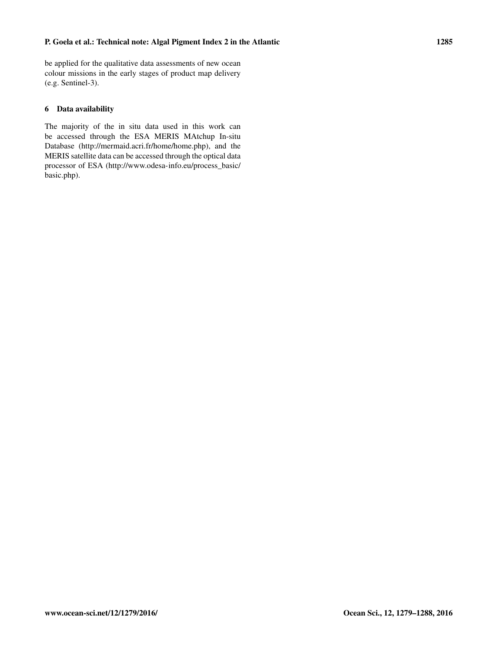be applied for the qualitative data assessments of new ocean colour missions in the early stages of product map delivery (e.g. Sentinel-3).

# 6 Data availability

The majority of the in situ data used in this work can be accessed through the ESA MERIS MAtchup In-situ Database [\(http://mermaid.acri.fr/home/home.php\)](http://mermaid.acri.fr/home/home.php), and the MERIS satellite data can be accessed through the optical data processor of ESA [\(http://www.odesa-info.eu/process\\_basic/](http://www.odesa-info.eu/process_basic/basic.php) [basic.php\)](http://www.odesa-info.eu/process_basic/basic.php).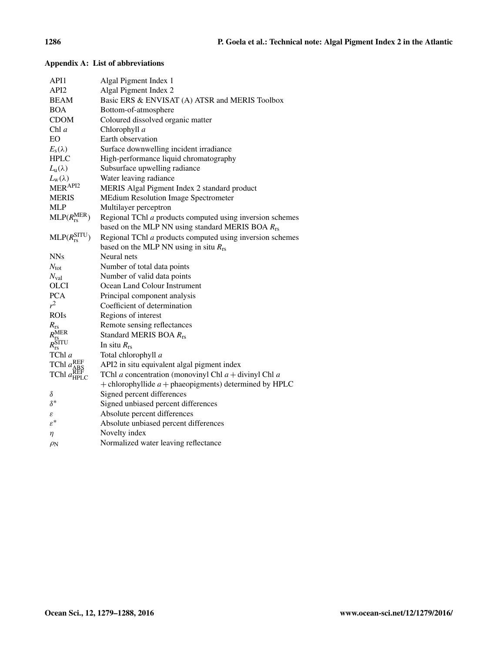| API1                                                 | Algal Pigment Index 1                                            |
|------------------------------------------------------|------------------------------------------------------------------|
| API <sub>2</sub>                                     | Algal Pigment Index 2                                            |
| <b>BEAM</b>                                          | Basic ERS & ENVISAT (A) ATSR and MERIS Toolbox                   |
| <b>BOA</b>                                           | Bottom-of-atmosphere                                             |
| <b>CDOM</b>                                          | Coloured dissolved organic matter                                |
| Chl $a$                                              | Chlorophyll a                                                    |
| EO                                                   | Earth observation                                                |
| $E_{\rm s}(\lambda)$                                 | Surface downwelling incident irradiance                          |
| <b>HPLC</b>                                          | High-performance liquid chromatography                           |
| $L_{\rm u}(\lambda)$                                 | Subsurface upwelling radiance                                    |
| $L_{\rm w}(\lambda)$                                 | Water leaving radiance                                           |
| MERAPI2                                              | MERIS Algal Pigment Index 2 standard product                     |
| <b>MERIS</b>                                         | <b>MEdium Resolution Image Spectrometer</b>                      |
| <b>MLP</b>                                           | Multilayer perceptron                                            |
| $MLP(R_{rs}^{MER})$                                  | Regional TChl a products computed using inversion schemes        |
|                                                      | based on the MLP NN using standard MERIS BOA $R_{rs}$            |
| $MLP(R_{rs}^{SITU})$                                 | Regional TChl a products computed using inversion schemes        |
|                                                      | based on the MLP NN using in situ $R_{rs}$                       |
| <b>NNs</b>                                           | Neural nets                                                      |
| $N_{\text{tot}}$                                     | Number of total data points                                      |
| $N_{\text{val}}$                                     | Number of valid data points                                      |
| <b>OLCI</b>                                          | Ocean Land Colour Instrument                                     |
| <b>PCA</b>                                           | Principal component analysis                                     |
| $r^2$                                                | Coefficient of determination                                     |
| <b>ROIs</b>                                          | Regions of interest                                              |
| $R_{\rm rs}$                                         | Remote sensing reflectances                                      |
| $\frac{R_{\rm rs}^{\rm MER}}{R_{\rm rs}^{\rm SITU}}$ | Standard MERIS BOA R <sub>rs</sub>                               |
|                                                      | In situ $R_{rs}$                                                 |
| TChl a                                               | Total chlorophyll a                                              |
| TChl $a_{ABC}^{\text{REF}}$                          | API2 in situ equivalent algal pigment index                      |
| $TChl$ $a_{\rm HPLC}^{\rm AEB}$                      | TChl <i>a</i> concentration (monovinyl Chl $a$ + divinyl Chl $a$ |
|                                                      | + chlorophyllide $a$ + phaeopigments) determined by HPLC         |
| $\delta$                                             | Signed percent differences                                       |
| $\delta^*$                                           | Signed unbiased percent differences                              |
| ε                                                    | Absolute percent differences                                     |
| $\varepsilon^*$                                      | Absolute unbiased percent differences                            |
| η                                                    | Novelty index                                                    |
| $\rho_{\rm N}$                                       | Normalized water leaving reflectance                             |

# Appendix A: List of abbreviations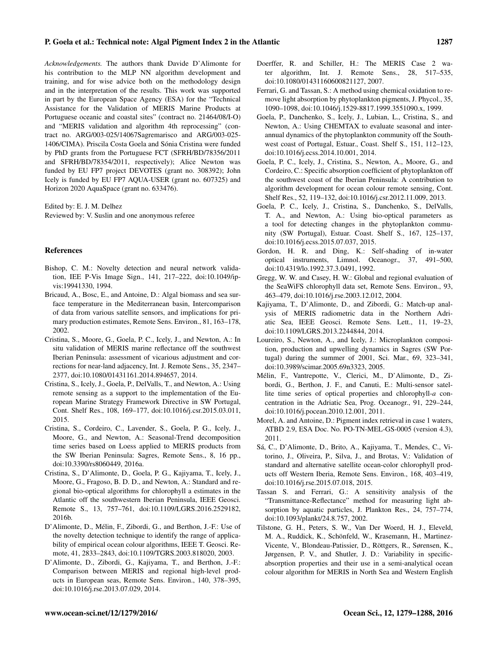#### P. Goela et al.: Technical note: Algal Pigment Index 2 in the Atlantic 1287

*Acknowledgements.* The authors thank Davide D'Alimonte for his contribution to the MLP NN algorithm development and training, and for wise advice both on the methodology design and in the interpretation of the results. This work was supported in part by the European Space Agency (ESA) for the "Technical Assistance for the Validation of MERIS Marine Products at Portuguese oceanic and coastal sites" (contract no. 21464/08/I-O) and "MERIS validation and algorithm 4th reprocessing" (contract no. ARG/003-025/14067Sagremarisco and ARG/003-025- 1406/CIMA). Priscila Costa Goela and Sónia Cristina were funded by PhD grants from the Portuguese FCT (SFRH/BD/78356/2011 and SFRH/BD/78354/2011, respectively); Alice Newton was funded by EU FP7 project DEVOTES (grant no. 308392); John Icely is funded by EU FP7 AQUA-USER (grant no. 607325) and Horizon 2020 AquaSpace (grant no. 633476).

Edited by: E. J. M. Delhez Reviewed by: V. Suslin and one anonymous referee

#### References

- Bishop, C. M.: Novelty detection and neural network validation, IEE P-Vis Image Sign., 141, 217–222, doi[:10.1049/ip](http://dx.doi.org/10.1049/ip-vis:19941330)[vis:19941330,](http://dx.doi.org/10.1049/ip-vis:19941330) 1994.
- Bricaud, A., Bosc, E., and Antoine, D.: Algal biomass and sea surface temperature in the Mediterranean basin, Intercomparison of data from various satellite sensors, and implications for primary production estimates, Remote Sens. Environ., 81, 163–178, 2002.
- Cristina, S., Moore, G., Goela, P. C., Icely, J., and Newton, A.: In situ validation of MERIS marine reflectance off the southwest Iberian Peninsula: assessment of vicarious adjustment and corrections for near-land adjacency, Int. J. Remote Sens., 35, 2347– 2377, doi[:10.1080/01431161.2014.894657,](http://dx.doi.org/10.1080/01431161.2014.894657) 2014.
- Cristina, S., Icely, J., Goela, P., DelValls, T., and Newton, A.: Using remote sensing as a support to the implementation of the European Marine Strategy Framework Directive in SW Portugal, Cont. Shelf Res., 108, 169–177, doi[:10.1016/j.csr.2015.03.011,](http://dx.doi.org/10.1016/j.csr.2015.03.011) 2015.
- Cristina, S., Cordeiro, C., Lavender, S., Goela, P. G., Icely, J., Moore, G., and Newton, A.: Seasonal-Trend decomposition time series based on Loess applied to MERIS products from the SW Iberian Peninsula: Sagres, Remote Sens., 8, 16 pp., doi[:10.3390/rs8060449,](http://dx.doi.org/10.3390/rs8060449) 2016a.
- Cristina, S., D'Alimonte, D., Goela, P. G., Kajiyama, T., Icely, J., Moore, G., Fragoso, B. D. D., and Newton, A.: Standard and regional bio-optical algorithms for chlorophyll a estimates in the Atlantic off the southwestern Iberian Peninsula, IEEE Geosci. Remote S., 13, 757–761, doi[:10.1109/LGRS.2016.2529182,](http://dx.doi.org/10.1109/LGRS.2016.2529182) 2016b.
- D'Alimonte, D., Mélin, F., Zibordi, G., and Berthon, J.-F.: Use of the novelty detection technique to identify the range of applicability of empirical ocean colour algorithms, IEEE T. Geosci. Remote, 41, 2833–2843, doi[:10.1109/TGRS.2003.818020,](http://dx.doi.org/10.1109/TGRS.2003.818020) 2003.
- D'Alimonte, D., Zibordi, G., Kajiyama, T., and Berthon, J.-F.: Comparison between MERIS and regional high-level products in European seas, Remote Sens. Environ., 140, 378–395, doi[:10.1016/j.rse.2013.07.029,](http://dx.doi.org/10.1016/j.rse.2013.07.029) 2014.
- Doerffer, R. and Schiller, H.: The MERIS Case 2 water algorithm, Int. J. Remote Sens., 28, 517–535, doi[:10.1080/01431160600821127,](http://dx.doi.org/10.1080/01431160600821127) 2007.
- Ferrari, G. and Tassan, S.: A method using chemical oxidation to remove light absorption by phytoplankton pigments, J. Phycol., 35, 1090–1098, doi[:10.1046/j.1529-8817.1999.3551090.x,](http://dx.doi.org/10.1046/j.1529-8817.1999.3551090.x) 1999.
- Goela, P., Danchenko, S., Icely, J., Lubian, L., Cristina, S., and Newton, A.: Using CHEMTAX to evaluate seasonal and interannual dynamics of the phytoplankton community off the Southwest coast of Portugal, Estuar., Coast. Shelf S., 151, 112–123, doi[:10.1016/j.ecss.2014.10.001,](http://dx.doi.org/10.1016/j.ecss.2014.10.001) 2014.
- Goela, P. C., Icely, J., Cristina, S., Newton, A., Moore, G., and Cordeiro, C.: Specific absorption coefficient of phytoplankton off the southwest coast of the Iberian Peninsula: A contribution to algorithm development for ocean colour remote sensing, Cont. Shelf Res., 52, 119–132, doi[:10.1016/j.csr.2012.11.009,](http://dx.doi.org/10.1016/j.csr.2012.11.009) 2013.
- Goela, P. C., Icely, J., Cristina, S., Danchenko, S., DelValls, T. A., and Newton, A.: Using bio-optical parameters as a tool for detecting changes in the phytoplankton community (SW Portugal), Estuar. Coast. Shelf S., 167, 125–137, doi[:10.1016/j.ecss.2015.07.037,](http://dx.doi.org/10.1016/j.ecss.2015.07.037) 2015.
- Gordon, H. R. and Ding, K.: Self-shading of in-water optical instruments, Limnol. Oceanogr., 37, 491–500, doi[:10.4319/lo.1992.37.3.0491,](http://dx.doi.org/10.4319/lo.1992.37.3.0491) 1992.
- Gregg, W. W. and Casey, H. W.: Global and regional evaluation of the SeaWiFS chlorophyll data set, Remote Sens. Environ., 93, 463–479, doi[:10.1016/j.rse.2003.12.012,](http://dx.doi.org/10.1016/j.rse.2003.12.012) 2004.
- Kajiyama, T., D'Alimonte, D., and Zibordi, G.: Match-up analysis of MERIS radiometric data in the Northern Adriatic Sea, IEEE Geosci. Remote Sens. Lett., 11, 19–23, doi[:10.1109/LGRS.2013.2244844,](http://dx.doi.org/10.1109/LGRS.2013.2244844) 2014.
- Loureiro, S., Newton, A., and Icely, J.: Microplankton composition, production and upwelling dynamics in Sagres (SW Portugal) during the summer of 2001, Sci. Mar., 69, 323–341, doi[:10.3989/scimar.2005.69n3323,](http://dx.doi.org/10.3989/scimar.2005.69n3323) 2005.
- Mélin, F., Vantrepotte, V., Clerici, M., D'Alimonte, D., Zibordi, G., Berthon, J. F., and Canuti, E.: Multi-sensor satellite time series of optical properties and chlorophyll-*a* concentration in the Adriatic Sea, Prog. Oceanogr., 91, 229–244, doi[:10.1016/j.pocean.2010.12.001,](http://dx.doi.org/10.1016/j.pocean.2010.12.001) 2011.
- Morel, A. and Antoine, D.: Pigment index retrieval in case 1 waters, ATBD 2.9, ESA Doc. No. PO-TN-MEL-GS-0005 (version 4.3), 2011.
- Sá, C., D'Alimonte, D., Brito, A., Kajiyama, T., Mendes, C., Vitorino, J., Oliveira, P., Silva, J., and Brotas, V.: Validation of standard and alternative satellite ocean-color chlorophyll products off Western Iberia, Remote Sens. Environ., 168, 403–419, doi[:10.1016/j.rse.2015.07.018,](http://dx.doi.org/10.1016/j.rse.2015.07.018) 2015.
- Tassan S. and Ferrari, G.: A sensitivity analysis of the "Transmittance-Reflectance" method for measuring light absorption by aquatic particles, J. Plankton Res., 24, 757–774, doi[:10.1093/plankt/24.8.757,](http://dx.doi.org/10.1093/plankt/24.8.757) 2002.
- Tilstone, G. H., Peters, S. W., Van Der Woerd, H. J., Eleveld, M. A., Ruddick, K., Schönfeld, W., Krasemann, H., Martinez-Vicente, V., Blondeau-Patissier, D., Röttgers, R., Sørensen, K., Jørgensen, P. V., and Shutler, J. D.: Variability in specificabsorption properties and their use in a semi-analytical ocean colour algorithm for MERIS in North Sea and Western English